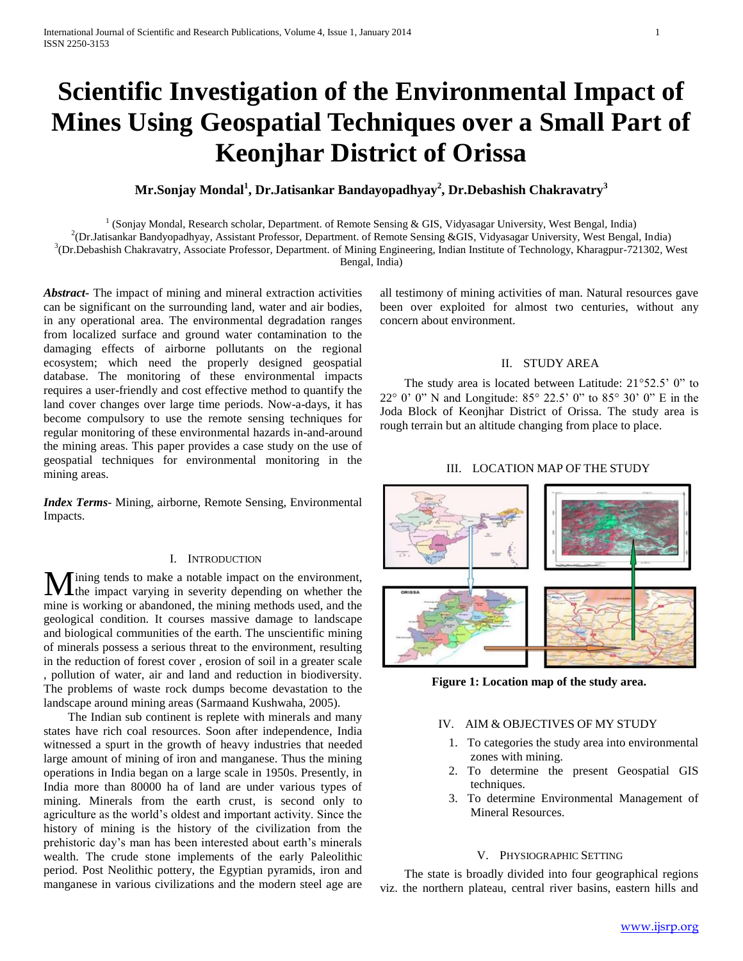# **Scientific Investigation of the Environmental Impact of Mines Using Geospatial Techniques over a Small Part of Keonjhar District of Orissa**

## **Mr.Sonjay Mondal<sup>1</sup> , Dr.Jatisankar Bandayopadhyay<sup>2</sup> , Dr.Debashish Chakravatry<sup>3</sup>**

<sup>1</sup> (Sonjay Mondal, Research scholar, Department. of Remote Sensing & GIS, Vidyasagar University, West Bengal, India) 2 (Dr.Jatisankar Bandyopadhyay, Assistant Professor, Department. of Remote Sensing &GIS, Vidyasagar University, West Bengal, India) 3 (Dr.Debashish Chakravatry, Associate Professor, Department. of Mining Engineering, Indian Institute of Technology, Kharagpur-721302, West Bengal, India)

*Abstract***-** The impact of mining and mineral extraction activities can be significant on the surrounding land, water and air bodies, in any operational area. The environmental degradation ranges from localized surface and ground water contamination to the damaging effects of airborne pollutants on the regional ecosystem; which need the properly designed geospatial database. The monitoring of these environmental impacts requires a user-friendly and cost effective method to quantify the land cover changes over large time periods. Now-a-days, it has become compulsory to use the remote sensing techniques for regular monitoring of these environmental hazards in-and-around the mining areas. This paper provides a case study on the use of geospatial techniques for environmental monitoring in the mining areas.

*Index Terms*- Mining, airborne, Remote Sensing, Environmental Impacts.

#### I. INTRODUCTION

Ining tends to make a notable impact on the environment, **M** ining tends to make a notable impact on the environment, the impact varying in severity depending on whether the mine is working or abandoned, the mining methods used, and the geological condition. It courses massive damage to landscape and biological communities of the earth. The unscientific mining of minerals possess a serious threat to the environment, resulting in the reduction of forest cover , erosion of soil in a greater scale , pollution of water, air and land and reduction in biodiversity. The problems of waste rock dumps become devastation to the landscape around mining areas (Sarmaand Kushwaha, 2005).

 The Indian sub continent is replete with minerals and many states have rich coal resources. Soon after independence, India witnessed a spurt in the growth of heavy industries that needed large amount of mining of iron and manganese. Thus the mining operations in India began on a large scale in 1950s. Presently, in India more than 80000 ha of land are under various types of mining. Minerals from the earth crust, is second only to agriculture as the world's oldest and important activity. Since the history of mining is the history of the civilization from the prehistoric day's man has been interested about earth's minerals wealth. The crude stone implements of the early Paleolithic period. Post Neolithic pottery, the Egyptian pyramids, iron and manganese in various civilizations and the modern steel age are all testimony of mining activities of man. Natural resources gave been over exploited for almost two centuries, without any concern about environment.

## II. STUDY AREA

The study area is located between Latitude:  $21^{\circ}52.5'$  0" to 22° 0' 0" N and Longitude: 85° 22.5' 0" to 85° 30' 0" E in the Joda Block of Keonjhar District of Orissa. The study area is rough terrain but an altitude changing from place to place.

## III. LOCATION MAP OF THE STUDY



**Figure 1: Location map of the study area.**

## IV. AIM & OBJECTIVES OF MY STUDY

- 1. To categories the study area into environmental zones with mining.
- 2. To determine the present Geospatial GIS techniques.
- 3. To determine Environmental Management of Mineral Resources.

## V. PHYSIOGRAPHIC SETTING

 The state is broadly divided into four geographical regions viz. the northern plateau, central river basins, eastern hills and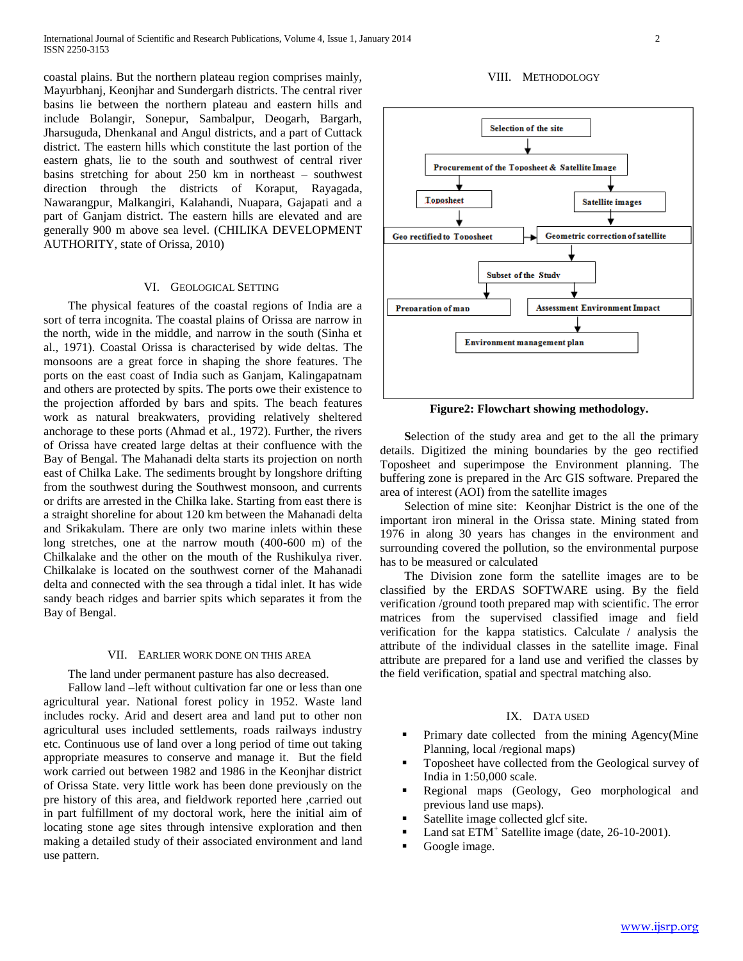coastal plains. But the northern plateau region comprises mainly, Mayurbhanj, Keonjhar and Sundergarh districts. The central river basins lie between the northern plateau and eastern hills and include Bolangir, Sonepur, Sambalpur, Deogarh, Bargarh, Jharsuguda, Dhenkanal and Angul districts, and a part of Cuttack district. The eastern hills which constitute the last portion of the eastern ghats, lie to the south and southwest of central river basins stretching for about 250 km in northeast – southwest direction through the districts of Koraput, Rayagada, Nawarangpur, Malkangiri, Kalahandi, Nuapara, Gajapati and a part of Ganjam district. The eastern hills are elevated and are generally 900 m above sea level. (CHILIKA DEVELOPMENT AUTHORITY, state of Orissa, 2010)

## VI. GEOLOGICAL SETTING

 The physical features of the coastal regions of India are a sort of terra incognita. The coastal plains of Orissa are narrow in the north, wide in the middle, and narrow in the south (Sinha et al., 1971). Coastal Orissa is characterised by wide deltas. The monsoons are a great force in shaping the shore features. The ports on the east coast of India such as Ganjam, Kalingapatnam and others are protected by spits. The ports owe their existence to the projection afforded by bars and spits. The beach features work as natural breakwaters, providing relatively sheltered anchorage to these ports (Ahmad et al., 1972). Further, the rivers of Orissa have created large deltas at their confluence with the Bay of Bengal. The Mahanadi delta starts its projection on north east of Chilka Lake. The sediments brought by longshore drifting from the southwest during the Southwest monsoon, and currents or drifts are arrested in the Chilka lake. Starting from east there is a straight shoreline for about 120 km between the Mahanadi delta and Srikakulam. There are only two marine inlets within these long stretches, one at the narrow mouth (400-600 m) of the Chilkalake and the other on the mouth of the Rushikulya river. Chilkalake is located on the southwest corner of the Mahanadi delta and connected with the sea through a tidal inlet. It has wide sandy beach ridges and barrier spits which separates it from the Bay of Bengal.

#### VII. EARLIER WORK DONE ON THIS AREA

The land under permanent pasture has also decreased.

 Fallow land –left without cultivation far one or less than one agricultural year. National forest policy in 1952. Waste land includes rocky. Arid and desert area and land put to other non agricultural uses included settlements, roads railways industry etc. Continuous use of land over a long period of time out taking appropriate measures to conserve and manage it. But the field work carried out between 1982 and 1986 in the Keonjhar district of Orissa State. very little work has been done previously on the pre history of this area, and fieldwork reported here ,carried out in part fulfillment of my doctoral work, here the initial aim of locating stone age sites through intensive exploration and then making a detailed study of their associated environment and land use pattern.

#### VIII. METHODOLOGY



**Figure2: Flowchart showing methodology.**

 **S**election of the study area and get to the all the primary details. Digitized the mining boundaries by the geo rectified Toposheet and superimpose the Environment planning. The buffering zone is prepared in the Arc GIS software. Prepared the area of interest (AOI) from the satellite images

Selection of mine site: Keonjhar District is the one of the important iron mineral in the Orissa state. Mining stated from 1976 in along 30 years has changes in the environment and surrounding covered the pollution, so the environmental purpose has to be measured or calculated

The Division zone form the satellite images are to be classified by the ERDAS SOFTWARE using. By the field verification /ground tooth prepared map with scientific. The error matrices from the supervised classified image and field verification for the kappa statistics. Calculate / analysis the attribute of the individual classes in the satellite image. Final attribute are prepared for a land use and verified the classes by the field verification, spatial and spectral matching also.

## IX. DATA USED

- Primary date collected from the mining Agency(Mine Planning, local /regional maps)
- Toposheet have collected from the Geological survey of India in 1:50,000 scale.
- Regional maps (Geology, Geo morphological and previous land use maps).
- Satellite image collected glcf site.
- Land sat ETM<sup>+</sup> Satellite image (date, 26-10-2001).
- Google image.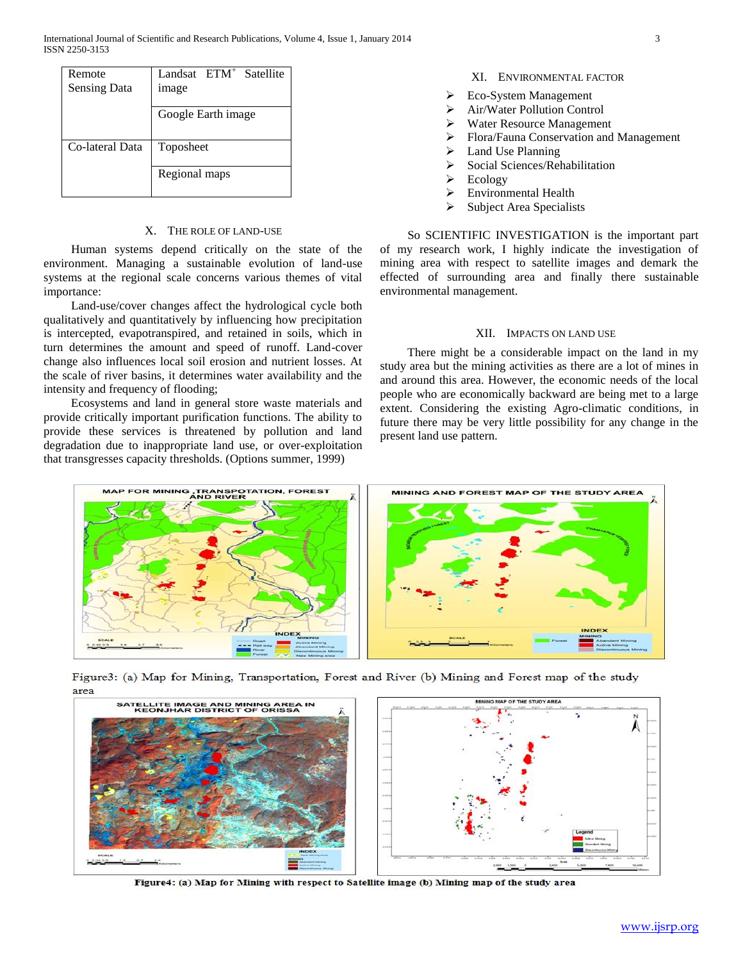| Remote<br><b>Sensing Data</b> | Landsat ETM <sup>+</sup> Satellite<br>image |  |  |  |
|-------------------------------|---------------------------------------------|--|--|--|
|                               | Google Earth image                          |  |  |  |
| Co-lateral Data               | Toposheet                                   |  |  |  |
|                               | Regional maps                               |  |  |  |

## X. THE ROLE OF LAND-USE

 Human systems depend critically on the state of the environment. Managing a sustainable evolution of land-use systems at the regional scale concerns various themes of vital importance:

 Land-use/cover changes affect the hydrological cycle both qualitatively and quantitatively by influencing how precipitation is intercepted, evapotranspired, and retained in soils, which in turn determines the amount and speed of runoff. Land-cover change also influences local soil erosion and nutrient losses. At the scale of river basins, it determines water availability and the intensity and frequency of flooding;

 Ecosystems and land in general store waste materials and provide critically important purification functions. The ability to provide these services is threatened by pollution and land degradation due to inappropriate land use, or over-exploitation that transgresses capacity thresholds. (Options summer, 1999)

- XI. ENVIRONMENTAL FACTOR
- Eco-System Management
- Air/Water Pollution Control
- Water Resource Management
- Flora/Fauna Conservation and Management
- $\blacktriangleright$  Land Use Planning
- $\triangleright$  Social Sciences/Rehabilitation
- $\triangleright$  Ecology
- Environmental Health
- $\triangleright$  Subject Area Specialists

 So SCIENTIFIC INVESTIGATION is the important part of my research work, I highly indicate the investigation of mining area with respect to satellite images and demark the effected of surrounding area and finally there sustainable environmental management.

#### XII. IMPACTS ON LAND USE

 There might be a considerable impact on the land in my study area but the mining activities as there are a lot of mines in and around this area. However, the economic needs of the local people who are economically backward are being met to a large extent. Considering the existing Agro-climatic conditions, in future there may be very little possibility for any change in the present land use pattern.



Figure3: (a) Map for Mining, Transportation, Forest and River (b) Mining and Forest map of the study area



Figure4: (a) Map for Mining with respect to Satellite image (b) Mining map of the study area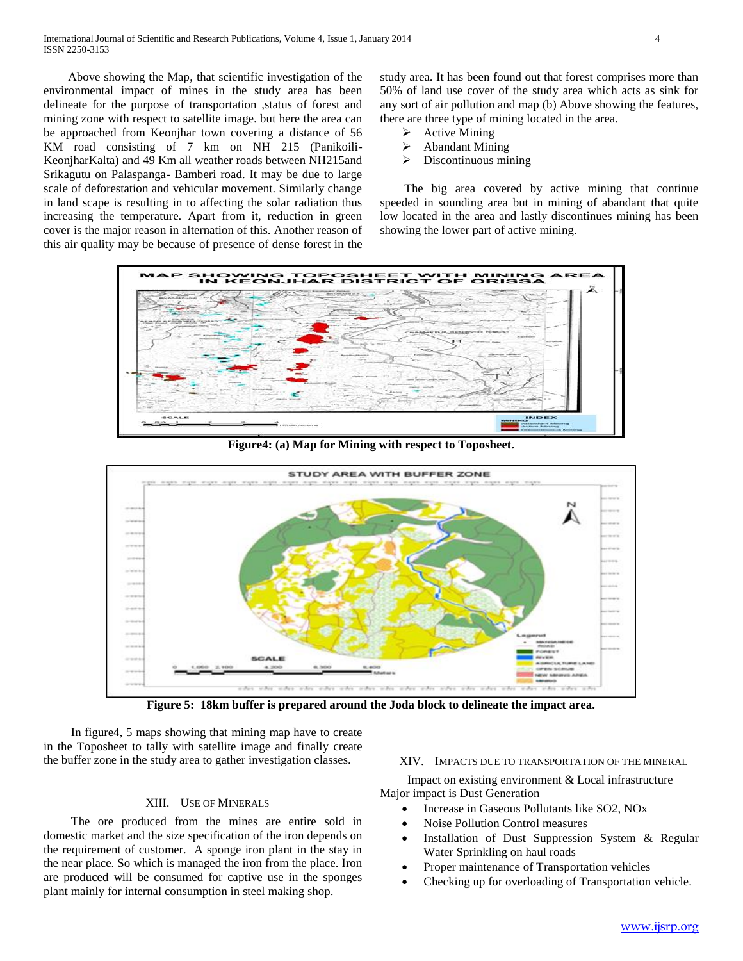Above showing the Map, that scientific investigation of the environmental impact of mines in the study area has been delineate for the purpose of transportation ,status of forest and mining zone with respect to satellite image. but here the area can be approached from Keonjhar town covering a distance of 56 KM road consisting of 7 km on NH 215 (Panikoili-KeonjharKalta) and 49 Km all weather roads between NH215and Srikagutu on Palaspanga- Bamberi road. It may be due to large scale of deforestation and vehicular movement. Similarly change in land scape is resulting in to affecting the solar radiation thus increasing the temperature. Apart from it, reduction in green cover is the major reason in alternation of this. Another reason of this air quality may be because of presence of dense forest in the

study area. It has been found out that forest comprises more than 50% of land use cover of the study area which acts as sink for any sort of air pollution and map (b) Above showing the features, there are three type of mining located in the area.

- $\blacktriangleright$  Active Mining
- Abandant Mining
- $\triangleright$  Discontinuous mining

 The big area covered by active mining that continue speeded in sounding area but in mining of abandant that quite low located in the area and lastly discontinues mining has been showing the lower part of active mining.



**Figure4: (a) Map for Mining with respect to Toposheet.**



**Figure 5: 18km buffer is prepared around the Joda block to delineate the impact area.**

 In figure4, 5 maps showing that mining map have to create in the Toposheet to tally with satellite image and finally create the buffer zone in the study area to gather investigation classes.

#### XIII. USE OF MINERALS

 The ore produced from the mines are entire sold in domestic market and the size specification of the iron depends on the requirement of customer. A sponge iron plant in the stay in the near place. So which is managed the iron from the place. Iron are produced will be consumed for captive use in the sponges plant mainly for internal consumption in steel making shop.

#### XIV. IMPACTS DUE TO TRANSPORTATION OF THE MINERAL

 Impact on existing environment & Local infrastructure Major impact is Dust Generation

- Increase in Gaseous Pollutants like SO2, NOx
- Noise Pollution Control measures
- Installation of Dust Suppression System & Regular Water Sprinkling on haul roads
- Proper maintenance of Transportation vehicles
- Checking up for overloading of Transportation vehicle.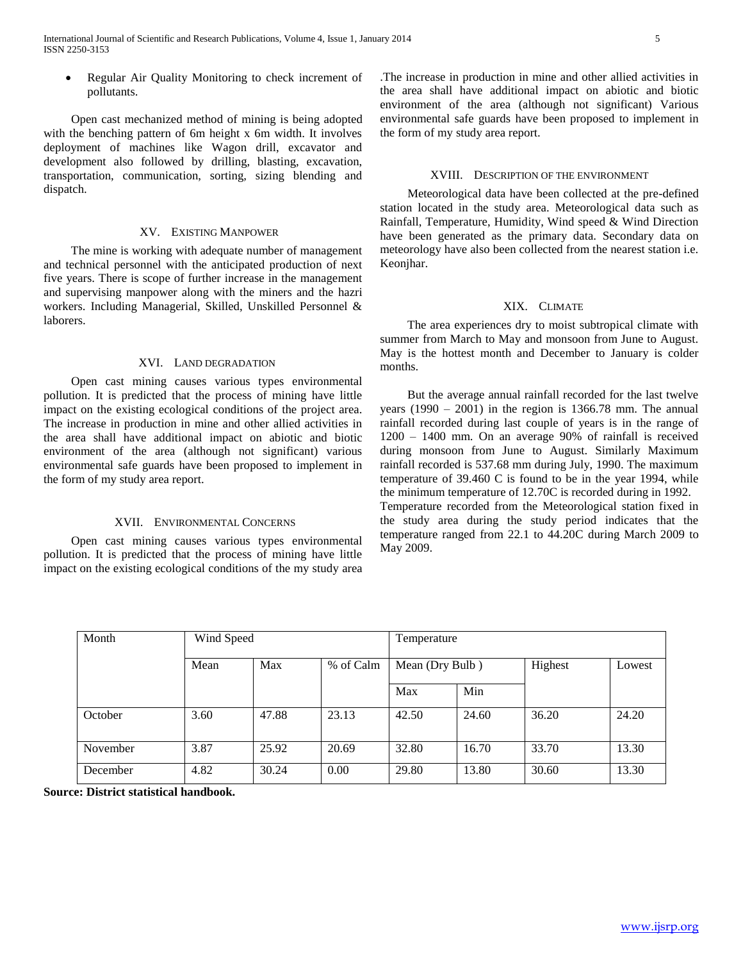Regular Air Quality Monitoring to check increment of pollutants.

 Open cast mechanized method of mining is being adopted with the benching pattern of 6m height x 6m width. It involves deployment of machines like Wagon drill, excavator and development also followed by drilling, blasting, excavation, transportation, communication, sorting, sizing blending and dispatch.

#### XV. EXISTING MANPOWER

 The mine is working with adequate number of management and technical personnel with the anticipated production of next five years. There is scope of further increase in the management and supervising manpower along with the miners and the hazri workers. Including Managerial, Skilled, Unskilled Personnel & laborers.

#### XVI. LAND DEGRADATION

 Open cast mining causes various types environmental pollution. It is predicted that the process of mining have little impact on the existing ecological conditions of the project area. The increase in production in mine and other allied activities in the area shall have additional impact on abiotic and biotic environment of the area (although not significant) various environmental safe guards have been proposed to implement in the form of my study area report.

## XVII. ENVIRONMENTAL CONCERNS

 Open cast mining causes various types environmental pollution. It is predicted that the process of mining have little impact on the existing ecological conditions of the my study area

.The increase in production in mine and other allied activities in the area shall have additional impact on abiotic and biotic environment of the area (although not significant) Various environmental safe guards have been proposed to implement in the form of my study area report.

#### XVIII. DESCRIPTION OF THE ENVIRONMENT

 Meteorological data have been collected at the pre-defined station located in the study area. Meteorological data such as Rainfall, Temperature, Humidity, Wind speed & Wind Direction have been generated as the primary data. Secondary data on meteorology have also been collected from the nearest station i.e. Keonihar.

#### XIX. CLIMATE

 The area experiences dry to moist subtropical climate with summer from March to May and monsoon from June to August. May is the hottest month and December to January is colder months.

 But the average annual rainfall recorded for the last twelve years  $(1990 - 2001)$  in the region is 1366.78 mm. The annual rainfall recorded during last couple of years is in the range of 1200 – 1400 mm. On an average 90% of rainfall is received during monsoon from June to August. Similarly Maximum rainfall recorded is 537.68 mm during July, 1990. The maximum temperature of 39.460 C is found to be in the year 1994, while the minimum temperature of 12.70C is recorded during in 1992. Temperature recorded from the Meteorological station fixed in the study area during the study period indicates that the temperature ranged from 22.1 to 44.20C during March 2009 to May 2009.

| Month    | Wind Speed |       |           | Temperature     |       |         |        |
|----------|------------|-------|-----------|-----------------|-------|---------|--------|
|          | Mean       | Max   | % of Calm | Mean (Dry Bulb) |       | Highest | Lowest |
|          |            |       |           | Max             | Min   |         |        |
| October  | 3.60       | 47.88 | 23.13     | 42.50           | 24.60 | 36.20   | 24.20  |
| November | 3.87       | 25.92 | 20.69     | 32.80           | 16.70 | 33.70   | 13.30  |
| December | 4.82       | 30.24 | 0.00      | 29.80           | 13.80 | 30.60   | 13.30  |

**Source: District statistical handbook.**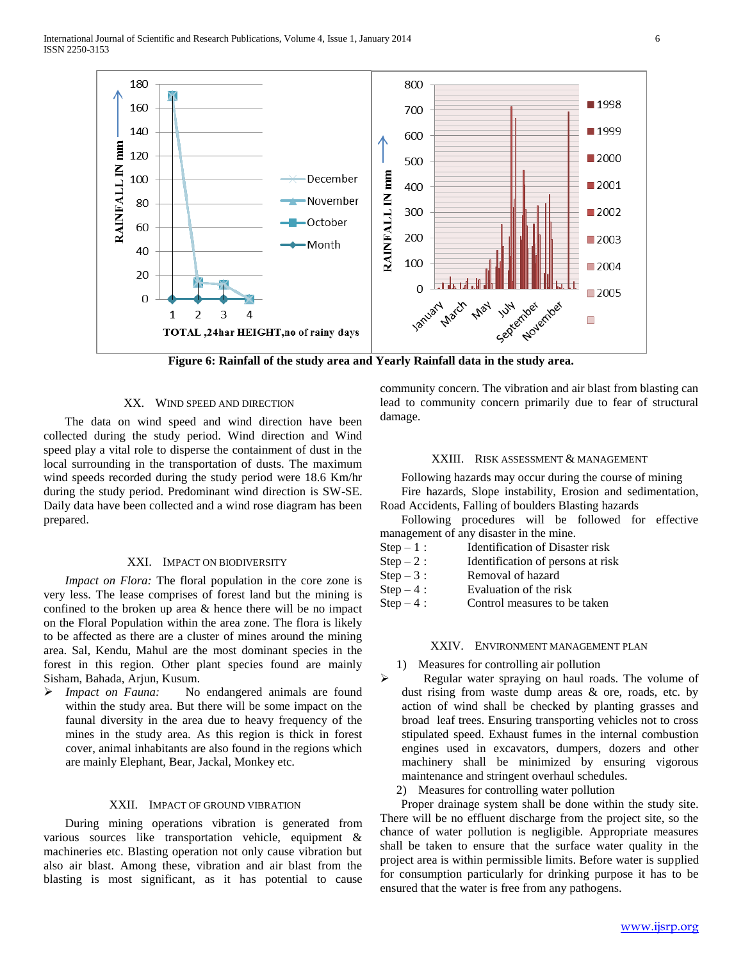

**Figure 6: Rainfall of the study area and Yearly Rainfall data in the study area.**

## XX. WIND SPEED AND DIRECTION

The data on wind speed and wind direction have been collected during the study period. Wind direction and Wind speed play a vital role to disperse the containment of dust in the local surrounding in the transportation of dusts. The maximum wind speeds recorded during the study period were 18.6 Km/hr during the study period. Predominant wind direction is SW-SE. Daily data have been collected and a wind rose diagram has been prepared.

#### XXI. IMPACT ON BIODIVERSITY

*Impact on Flora:* The floral population in the core zone is very less. The lease comprises of forest land but the mining is confined to the broken up area & hence there will be no impact on the Floral Population within the area zone. The flora is likely to be affected as there are a cluster of mines around the mining area. Sal, Kendu, Mahul are the most dominant species in the forest in this region. Other plant species found are mainly Sisham, Bahada, Arjun, Kusum.

 *Impact on Fauna:* No endangered animals are found within the study area. But there will be some impact on the faunal diversity in the area due to heavy frequency of the mines in the study area. As this region is thick in forest cover, animal inhabitants are also found in the regions which are mainly Elephant, Bear, Jackal, Monkey etc.

#### XXII. IMPACT OF GROUND VIBRATION

During mining operations vibration is generated from various sources like transportation vehicle, equipment & machineries etc. Blasting operation not only cause vibration but also air blast. Among these, vibration and air blast from the blasting is most significant, as it has potential to cause

community concern. The vibration and air blast from blasting can lead to community concern primarily due to fear of structural damage.

## XXIII. RISK ASSESSMENT & MANAGEMENT

Following hazards may occur during the course of mining

Fire hazards, Slope instability, Erosion and sedimentation, Road Accidents, Falling of boulders Blasting hazards

Following procedures will be followed for effective management of any disaster in the mine.

- $Step 1$ : Identification of Disaster risk
- Step  $-2$ : Identification of persons at risk
- $Step 3:$  Removal of hazard
- $Step 4:$  Evaluation of the risk
- Step  $-4$  : Control measures to be taken

## XXIV. ENVIRONMENT MANAGEMENT PLAN

- 1) Measures for controlling air pollution
- $\triangleright$  Regular water spraying on haul roads. The volume of dust rising from waste dump areas & ore, roads, etc. by action of wind shall be checked by planting grasses and broad leaf trees. Ensuring transporting vehicles not to cross stipulated speed. Exhaust fumes in the internal combustion engines used in excavators, dumpers, dozers and other machinery shall be minimized by ensuring vigorous maintenance and stringent overhaul schedules.
	- 2) Measures for controlling water pollution

Proper drainage system shall be done within the study site. There will be no effluent discharge from the project site, so the chance of water pollution is negligible. Appropriate measures shall be taken to ensure that the surface water quality in the project area is within permissible limits. Before water is supplied for consumption particularly for drinking purpose it has to be ensured that the water is free from any pathogens.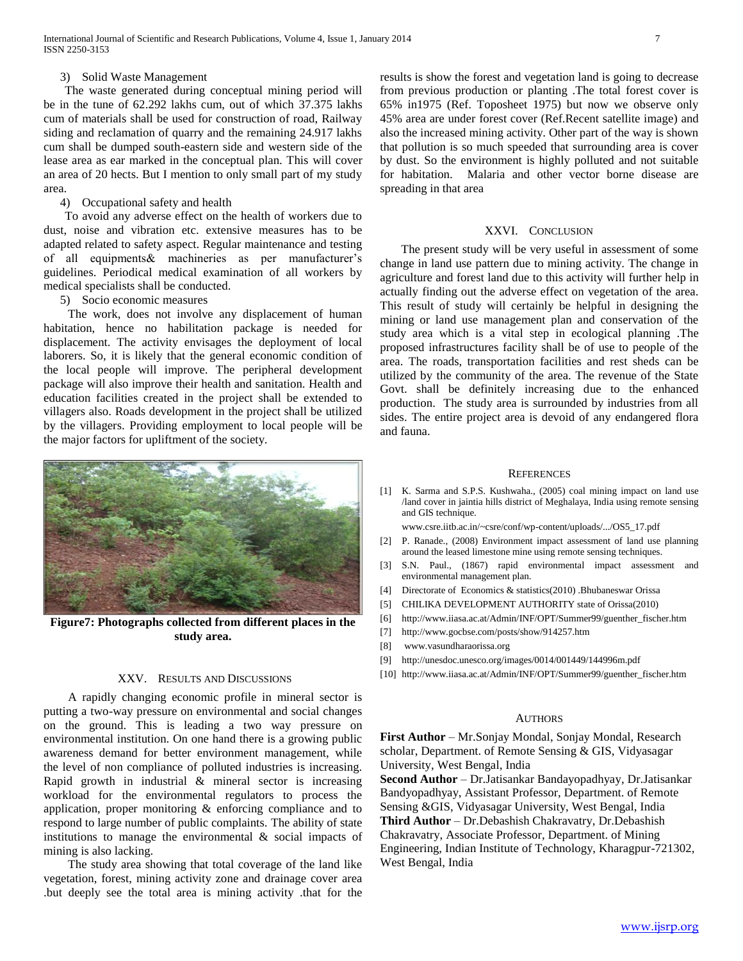#### 3) Solid Waste Management

The waste generated during conceptual mining period will be in the tune of 62.292 lakhs cum, out of which 37.375 lakhs cum of materials shall be used for construction of road, Railway siding and reclamation of quarry and the remaining 24.917 lakhs cum shall be dumped south-eastern side and western side of the lease area as ear marked in the conceptual plan. This will cover an area of 20 hects. But I mention to only small part of my study area.

#### 4) Occupational safety and health

To avoid any adverse effect on the health of workers due to dust, noise and vibration etc. extensive measures has to be adapted related to safety aspect. Regular maintenance and testing of all equipments& machineries as per manufacturer's guidelines. Periodical medical examination of all workers by medical specialists shall be conducted.

#### 5) Socio economic measures

 The work, does not involve any displacement of human habitation, hence no habilitation package is needed for displacement. The activity envisages the deployment of local laborers. So, it is likely that the general economic condition of the local people will improve. The peripheral development package will also improve their health and sanitation. Health and education facilities created in the project shall be extended to villagers also. Roads development in the project shall be utilized by the villagers. Providing employment to local people will be the major factors for upliftment of the society.



**Figure7: Photographs collected from different places in the study area.**

## XXV. RESULTS AND DISCUSSIONS

 A rapidly changing economic profile in mineral sector is putting a two-way pressure on environmental and social changes on the ground. This is leading a two way pressure on environmental institution. On one hand there is a growing public awareness demand for better environment management, while the level of non compliance of polluted industries is increasing. Rapid growth in industrial  $\&$  mineral sector is increasing workload for the environmental regulators to process the application, proper monitoring & enforcing compliance and to respond to large number of public complaints. The ability of state institutions to manage the environmental & social impacts of mining is also lacking.

 The study area showing that total coverage of the land like vegetation, forest, mining activity zone and drainage cover area .but deeply see the total area is mining activity .that for the results is show the forest and vegetation land is going to decrease from previous production or planting .The total forest cover is 65% in1975 (Ref. Toposheet 1975) but now we observe only 45% area are under forest cover (Ref.Recent satellite image) and also the increased mining activity. Other part of the way is shown that pollution is so much speeded that surrounding area is cover by dust. So the environment is highly polluted and not suitable for habitation. Malaria and other vector borne disease are spreading in that area

#### XXVI. CONCLUSION

The present study will be very useful in assessment of some change in land use pattern due to mining activity. The change in agriculture and forest land due to this activity will further help in actually finding out the adverse effect on vegetation of the area. This result of study will certainly be helpful in designing the mining or land use management plan and conservation of the study area which is a vital step in ecological planning .The proposed infrastructures facility shall be of use to people of the area. The roads, transportation facilities and rest sheds can be utilized by the community of the area. The revenue of the State Govt. shall be definitely increasing due to the enhanced production. The study area is surrounded by industries from all sides. The entire project area is devoid of any endangered flora and fauna.

#### **REFERENCES**

[1] K. Sarma and S.P.S. Kushwaha., (2005) coal mining impact on land use /land cover in jaintia hills district of Meghalaya, India using remote sensing and GIS technique.

www.csre.iitb.ac.in/~csre/conf/wp-content/uploads/.../OS5\_17.pdf

- [2] P. Ranade., (2008) Environment impact assessment of land use planning around the leased limestone mine using remote sensing techniques.
- [3] S.N. Paul., (1867) rapid environmental impact assessment and environmental management plan.
- [4] Directorate of Economics & statistics(2010) .Bhubaneswar Orissa
- [5] CHILIKA DEVELOPMENT AUTHORITY state of Orissa(2010)
- [6] http://www.iiasa.ac.at/Admin/INF/OPT/Summer99/guenther\_fischer.htm
- [7] http://www.gocbse.com/posts/show/914257.htm
- [8] www.vasundharaorissa.org
- [9] http://unesdoc.unesco.org/images/0014/001449/144996m.pdf
- [10] http://www.iiasa.ac.at/Admin/INF/OPT/Summer99/guenther\_fischer.htm

#### **AUTHORS**

**First Author** – Mr.Sonjay Mondal, Sonjay Mondal, Research scholar, Department. of Remote Sensing & GIS, Vidyasagar University, West Bengal, India

**Second Author** – Dr.Jatisankar Bandayopadhyay, Dr.Jatisankar Bandyopadhyay, Assistant Professor, Department. of Remote Sensing &GIS, Vidyasagar University, West Bengal, India **Third Author** – Dr.Debashish Chakravatry, Dr.Debashish Chakravatry, Associate Professor, Department. of Mining Engineering, Indian Institute of Technology, Kharagpur-721302, West Bengal, India